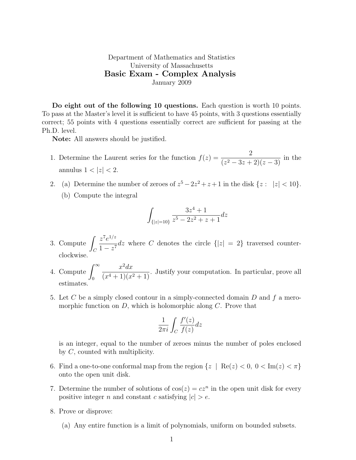## Department of Mathematics and Statistics University of Massachusetts Basic Exam - Complex Analysis January 2009

Do eight out of the following 10 questions. Each question is worth 10 points. To pass at the Master's level it is sufficient to have 45 points, with 3 questions essentially correct; 55 points with 4 questions essentially correct are sufficient for passing at the Ph.D. level.

Note: All answers should be justified.

- 1. Determine the Laurent series for the function  $f(z) = \frac{2}{(z-2)(z-2)}$  $\frac{2}{(z^2-3z+2)(z-3)}$  in the annulus  $1 < |z| < 2$ .
- 2. (a) Determine the number of zeroes of  $z^5 2z^2 + z + 1$  in the disk  $\{z : |z| < 10\}$ .
	- (b) Compute the integral

$$
\int_{\{|z|=10\}} \frac{3z^4 + 1}{z^5 - 2z^2 + z + 1} dz
$$

- 3. Compute  $\sqrt{ }$  $\mathcal{C}_{0}^{(n)}$  $z^7e^{1/z}$  $\frac{z}{1-z^7}$ dz where C denotes the circle  $\{|z|=2\}$  traversed counterclockwise.
- 4. Compute  $\int_{0}^{\infty}$ 0  $x^2 dx$  $\frac{x}{(x^4+1)(x^2+1)}$ . Justify your computation. In particular, prove all estimates.
- 5. Let C be a simply closed contour in a simply-connected domain D and f a meromorphic function on  $D$ , which is holomorphic along  $C$ . Prove that

$$
\frac{1}{2\pi i} \int_C \frac{f'(z)}{f(z)} dz
$$

is an integer, equal to the number of zeroes minus the number of poles enclosed by C, counted with multiplicity.

- 6. Find a one-to-one conformal map from the region  $\{z \mid \text{Re}(z) < 0, 0 < \text{Im}(z) < \pi\}$ onto the open unit disk.
- 7. Determine the number of solutions of  $cos(z) = cz^n$  in the open unit disk for every positive integer n and constant c satisfying  $|c| > e$ .
- 8. Prove or disprove:
	- (a) Any entire function is a limit of polynomials, uniform on bounded subsets.